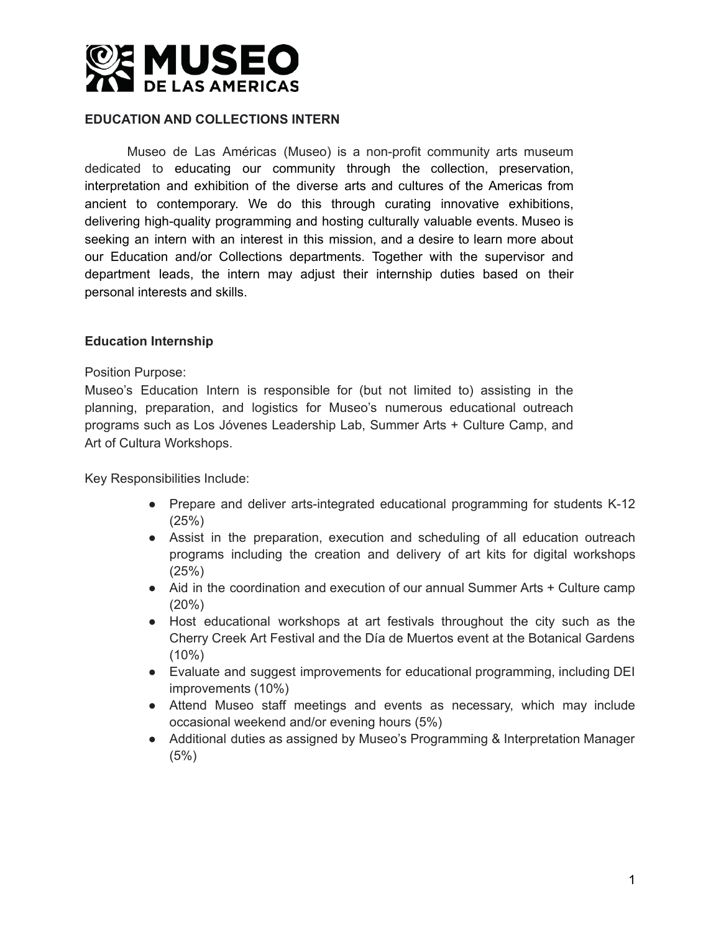

### **EDUCATION AND COLLECTIONS INTERN**

Museo de Las Américas (Museo) is a non-profit community arts museum dedicated to educating our community through the collection, preservation, interpretation and exhibition of the diverse arts and cultures of the Americas from ancient to contemporary. We do this through curating innovative exhibitions, delivering high-quality programming and hosting culturally valuable events. Museo is seeking an intern with an interest in this mission, and a desire to learn more about our Education and/or Collections departments. Together with the supervisor and department leads, the intern may adjust their internship duties based on their personal interests and skills.

#### **Education Internship**

#### Position Purpose:

Museo's Education Intern is responsible for (but not limited to) assisting in the planning, preparation, and logistics for Museo's numerous educational outreach programs such as Los Jóvenes Leadership Lab, Summer Arts + Culture Camp, and Art of Cultura Workshops.

Key Responsibilities Include:

- Prepare and deliver arts-integrated educational programming for students K-12 (25%)
- Assist in the preparation, execution and scheduling of all education outreach programs including the creation and delivery of art kits for digital workshops (25%)
- Aid in the coordination and execution of our annual Summer Arts + Culture camp (20%)
- Host educational workshops at art festivals throughout the city such as the Cherry Creek Art Festival and the Día de Muertos event at the Botanical Gardens (10%)
- Evaluate and suggest improvements for educational programming, including DEI improvements (10%)
- Attend Museo staff meetings and events as necessary, which may include occasional weekend and/or evening hours (5%)
- Additional duties as assigned by Museo's Programming & Interpretation Manager (5%)